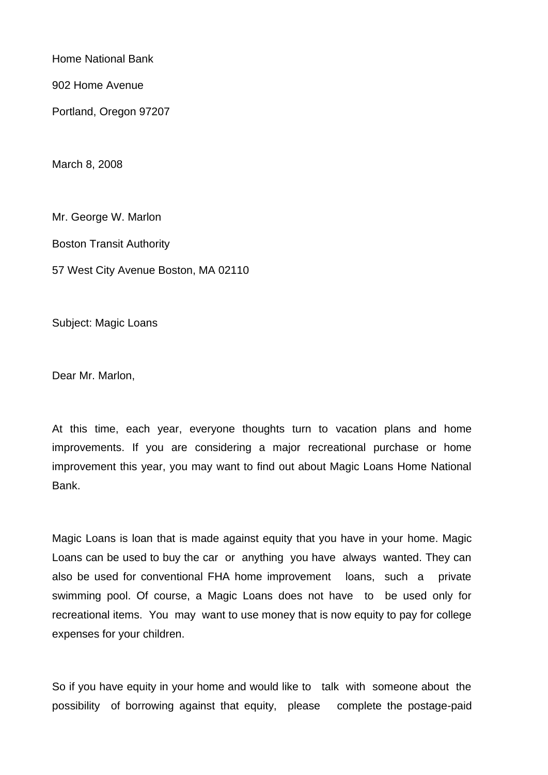Home National Bank

902 Home Avenue

Portland, Oregon 97207

March 8, 2008

Mr. George W. Marlon Boston Transit Authority 57 West City Avenue Boston, MA 02110

Subject: Magic Loans

Dear Mr. Marlon,

At this time, each year, everyone thoughts turn to vacation plans and home improvements. If you are considering a major recreational purchase or home improvement this year, you may want to find out about Magic Loans Home National Bank.

Magic Loans is loan that is made against equity that you have in your home. Magic Loans can be used to buy the car or anything you have always wanted. They can also be used for conventional FHA home improvement loans, such a private swimming pool. Of course, a Magic Loans does not have to be used only for recreational items. You may want to use money that is now equity to pay for college expenses for your children.

So if you have equity in your home and would like to talk with someone about the possibility of borrowing against that equity, please complete the postage-paid